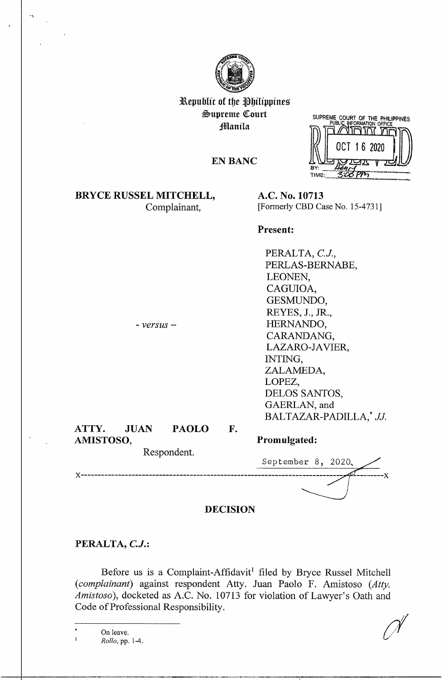

Republic of the Philippines  $\mathfrak{S}$ upreme Court **Manila** 

**EN BANC** 

SUPREME COURT OF THE PHILIPPINES OCT 16 2020 72975

## **BRYCE RUSSEL MITCHELL,**  Complainant,

**A.C. No. 10713**  [Formerly CBD Case No. 15-4731]

## **Present:**

PERALTA, *C.J.,*  PERLAS-BERNABE, LEONEN, CAGUIOA, GESMUNDO, REYES, J., JR., HERNANDO, CARANDANG, LAZARO-JAVIER, INTING, ZALAMEDA, LOPEZ, DELOS SANTOS, GAERLAN, and BALTAZAR-PADILLA,\* JJ.

# **ATTY. JUAN PAOLO AMISTOSO,**

- *versus* -

Respondent.

## **Promulgated:**

September 8, 2020. **x----------------------------------------------------------------------------- ---------x** 

## **DECISION**

**F.** 

### **PERALTA,** *C.J.:*

Before us is a Complaint-Affidavit<sup>1</sup> filed by Bryce Russel Mitchell *(complainant)* against respondent Atty. Juan Paolo F. Amistoso *(Atty. Amistoso),* docketed as A.C. No. 10713 for violation of Lawyer's Oath and Code of Professional Responsibility.

On leave. *Rollo,* pp. 1-4.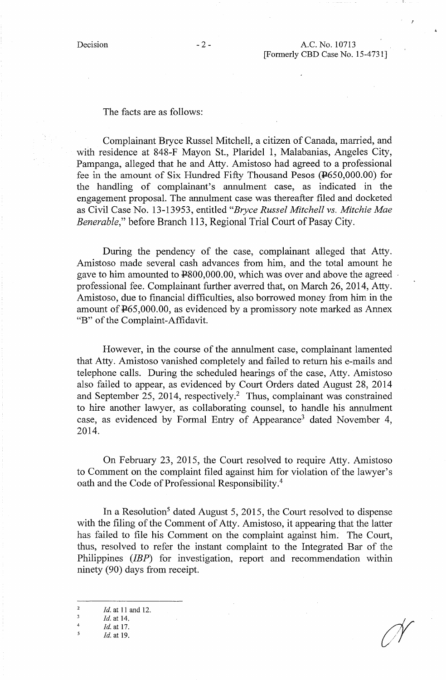!

#### The facts are as follows:

Complainant Bryce Russel Mitchell, a citizen of Canada, married, and with residence at 848-F Mayon St., Plaridel 1, Malabanias, Angeles City, Pampanga, alleged that he and Atty. Amistoso had agreed to a professional fee in the amount of Six Hundred Fifty Thousand Pesos (P650,000.00) for the handling of complainant's annulment case, as indicated in the engagement proposal. The annulment case was thereafter filed and docketed as Civil Case No. 13-13953, entitled *"Bryce Russel Mitchell vs. Mitchie Mae Benerable,"* before Branch 113, Regional Trial Court of Pasay City.

During the pendency of the case, complainant alleged that Atty. Amistoso made several cash advances from him, and the total amount he gave to him amounted to  $\text{\textsterling}800,000.00$ , which was over and above the agreed professional fee. Complainant further averred that, on March 26, 2014, Atty. Amistoso, due to financial difficulties, also borrowed money from him in the amount of P65,000.00, as evidenced by a promissory note marked as Annex "B" of the Complaint-Affidavit.

However, in the course of the annulment case, complainant lamented that Atty. Amistoso vanished completely and failed to return his e-mails and telephone calls. During the scheduled hearings of the case, Atty. Amistoso also failed to appear, as evidenced by Court Orders dated August 28, 2014 and September 25, 2014, respectively.<sup>2</sup> Thus, complainant was constrained to hire another lawyer, as collaborating counsel, to handle his annulment case, as evidenced by Formal Entry of Appearance3 dated November 4, 2014.

On February 23, 2015, the Court resolved to require Atty. Amistoso to Comment on the complaint filed against him for violation of the lawyer's oath and the Code of Professional Responsibility. <sup>4</sup>

In a Resolution<sup>5</sup> dated August 5, 2015, the Court resolved to dispense with the filing of the Comment of Atty. Amistoso, it appearing that the latter has failed to file his Comment on the complaint against him. The Court, thus, resolved to refer the instant complaint to the Integrated Bar of the Philippines *(IBP)* for investigation, report and recommendation within ninety (90) days from receipt.

- $\overline{\mathbf{3}}$ *Id.* at 14.
- 4 *Id.at* 17.
- *5 Id.* at 19.

<sup>2</sup>  *Id.* at 11 and 12.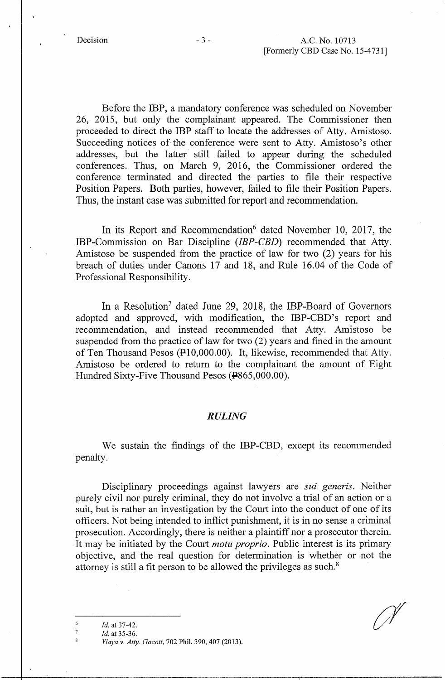Before the IBP, a mandatory conference was scheduled on November 26, 2015, but only the complainant appeared. The Commissioner then proceeded to direct the IBP staff to locate the addresses of Atty. Amistoso. Succeeding notices of the conference were sent to Atty. Amistoso's other addresses, but the latter still failed to appear during the scheduled conferences. Thus, on March 9, 2016, the Commissioner ordered the conference tenninated and directed the parties to file their respective Position Papers. Both parties, however, failed to file their Position Papers. Thus, the instant case was submitted for report and recommendation.

In its Report and Recommendation<sup>6</sup> dated November 10, 2017, the IBP-Commission on Bar Discipline *(IBP-CBD)* recommended that Atty. Amistoso be suspended from the practice of law for two (2) years for his breach of duties under Canons 17 and 18, and Rule 16.04 of the Code of Professional Responsibility.

In a Resolution<sup>7</sup> dated June 29, 2018, the IBP-Board of Governors adopted and approved, with modification, the IBP-CBD's report and recommendation, and instead recommended that Atty. Amistoso be suspended from the practice of law for two (2) years and fined in the amount of Ten Thousand Pesos  $(410,000.00)$ . It, likewise, recommended that Atty. Amistoso be ordered to return to the complainant the amount of Eight Hundred Sixty-Five Thousand Pesos (#865,000.00).

## *RULING*

We sustain the findings of the IBP-CBD, except its recommended penalty.

Disciplinary proceedings against lawyers are *sui generis.* Neither purely civil nor purely criminal, they do not involve a trial of an action or a suit, but is rather an investigation by the Court into the conduct of one of its officers. Not being intended to inflict punishment, it is in no sense a criminal prosecution. Accordingly, there is neither a plaintiff nor a prosecutor therein. It may be initiated by the Court *motu proprio.* Public interest is its primary objective, and the real question for determination is whether or not the attorney is still a fit person to be allowed the privileges as such.<sup>8</sup>

6 *Id.* at 37-42.

<sup>7</sup>  *Id.* at 35-36.

*Ylaya v. Atty. Gacott,* 702 **Phil.** 390,407 (2013).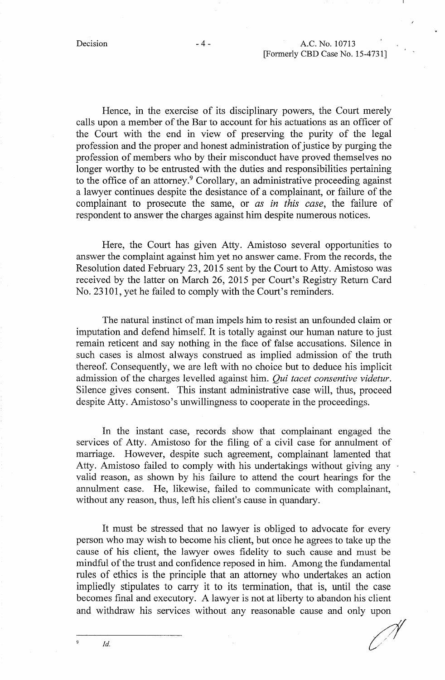Hence, in the exercise of its disciplinary powers, the Court merely calls upon a member of the Bar to account for his actuations as an officer of the Court with the end in view of preserving the purity of the legal profession and the proper and honest administration of justice by purging the profession of members who by their misconduct have proved themselves no longer worthy to be entrusted with the duties and responsibilities pertaining to the office of an attorney.<sup>9</sup> Corollary, an administrative proceeding against a lawyer continues despite the desistance of a complainant, or failure of the complainant to prosecute the same, or *as in this case,* the failure of respondent to answer the charges against him despite numerous notices.

Here, the Court has given Atty. Amistoso several opportunities to answer the complaint against him yet no answer came. From the records, the Resolution dated February 23, 2015 sent by the Court to Atty. Amistoso was received by the latter on March 26, 2015 per Court's Registry Return Card No. 23101, yet he failed to comply with the Court's reminders.

The natural instinct of man impels him to resist an unfounded claim or imputation and defend himself. It is totally against our human nature to just remain reticent and say nothing in the face of false accusations. Silence in such cases is almost always construed as implied admission of the truth thereof. Consequently, we are left with no choice but to deduce his implicit admission of the charges levelled against him. *Qui tacet consentive videtur.*  Silence gives consent. This instant administrative case will, thus, proceed despite Atty. Amistoso's unwillingness to cooperate in the proceedings.

In the instant case, records show that complainant engaged the services of Atty. Amistoso for the filing of a civil case for annulment of marriage. However, despite such agreement, complainant lamented that Atty. Amistoso failed to comply with his undertakings without giving any valid reason, as shown by his failure to attend the court hearings for the annulment case. He, likewise, failed to communicate with complainant, without any reason, thus, left his client's cause in quandary.

It must be stressed that no lawyer is obliged to advocate for every person who may wish to become his client, but once he agrees to take up the cause of his client, the lawyer owes fidelity to such cause and must be mindful of the trust and confidence reposed in him. Among the fundamental rules of ethics is the principle that an attorney who undertakes an action impliedly stipulates to carry it to its termination, that is, until the case becomes final and executory. A lawyer is not at liberty to abandon his client and withdraw his services without any reasonable cause and only upon

. .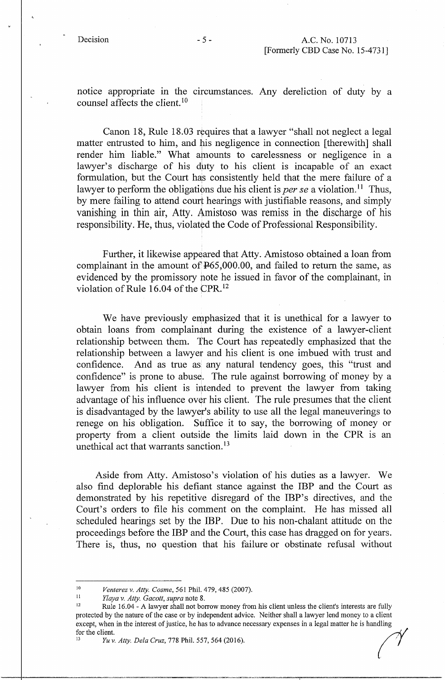notice appropriate in the circumstances. Any dereliction of duty by a counsel affects the client. 10

Canon 18, Rule 18.03 requires that a lawyer "shall not neglect a legal matter entrusted to him, and his negligence in connection [therewith] shall render him liable." What amounts to carelessness or negligence in a lawyer's discharge of his duty to his client is incapable of an exact formulation, but the Court has consistently held that the mere failure of a lawyer to perform the obligations due his client is *per se* a violation.<sup>11</sup> Thus, by mere failing to attend court hearings with justifiable reasons, and simply vanishing in thin air, Atty. Amistoso was remiss in the discharge of his responsibility. He, thus, violated the Code of Professional Responsibility.

Further, it likewise appeared that Atty. Amistoso obtained a loan from complainant in the amount of  $P65,000.00$ , and failed to return the same, as evidenced by the promissory note he issued in favor of the complainant, in violation of Rule 16.04 of the CPR. <sup>12</sup>

We have previously emphasized that it is unethical for a lawyer to obtain loans from complainant during the existence of a lawyer-client relationship between them. The Court has repeatedly emphasized that the relationship between a lawyer and his client is one imbued with trust and confidence. And as true as any natural tendency goes, this "trust and confidence" is prone to abuse. The rule against borrowing of money by a lawyer from his client is intended to prevent the lawyer from taking advantage of his influence over his client. The rule presumes that the client is disadvantaged by the lawyer's ability to use all the legal maneuverings to renege on his obligation. Suffice it to say, the borrowing of money or property from a client outside the limits laid down in the CPR is an unethical act that warrants sanction.<sup>13</sup>

Aside from Atty. Amistoso's violation of his duties as a lawyer. We also find deplorable his defiant stance against the IBP and the Court as demonstrated by his repetitive disregard of the IBP's directives, and the Court's orders to file his comment on the complaint. He has missed all scheduled hearings set by the IBP. Due to his non-chalant attitude on the proceedings before the IBP and the Court, this case has dragged on for years. There is, thus, no question that his failure or obstinate refusal without

<sup>10&</sup>lt;br> *Venterez v. Atty. Cosme,* 561 Phil. 479, 485 (2007).<br> *U<sub>nyay</sub>*, *Atty. Cosatt, surva* poto 9.

<sup>&</sup>lt;sup>11</sup> *Ylaya v. Atty. Gacott, supra* note 8.<br><sup>12</sup> Rule 16.04 - A lawyer shall not borrow money from his client unless the client's interests are fully protected by the nature of the case or by independent advice. Neither shall a lawyer lend money to a client except, when in the interest of justice, he has to advance necessary expenses in a legal matter he is handling for the client.<br>*I*<sup>13</sup> *Yuv. Atty. Dela Cruz*, 778 Phil. 557, 564 (2016).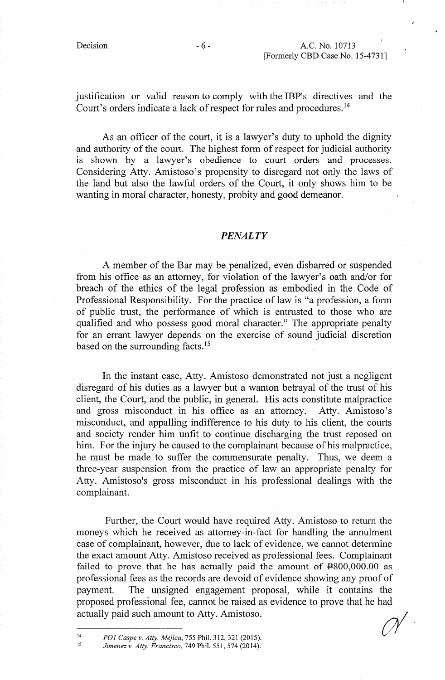justification or valid reason to comply with the IBP's directives and the Court's orders indicate a lack of respect for rules and procedures. <sup>14</sup>

As an officer of the court, it is a lawyer's duty to uphold the dignity and authority of the court. The highest form of respect for judicial authority is shown by a lawyer's obedience to court orders and processes. Considering Atty. Amistoso's propensity to disregard not only the laws of the land but also the lawful orders of the Court, it only shows him. to be wanting in moral character, honesty, probity and good demeanor.

#### *PENALTY*

A member of the Bar may be penalized, even disbarred or suspended from. his office as an attorney, for violation of the lawyer's oath and/or for breach of the ethics of the legal profession as embodied in the Code of Professional Responsibility. For the practice of law is "a profession, a form. of public trust, the performance of which is entrusted to those who are qualified and who possess good moral character." The appropriate penalty for an errant lawyer depends on the exercise of sound judicial discretion based on the surrounding facts.<sup>15</sup>

In the instant case, Atty. Amistoso demonstrated not just a negligent disregard of his duties as a lawyer but a wanton betrayal of the trust of his client, the Court, and the public, in general. His acts constitute malpractice and gross misconduct in his office as an attorney. Atty. Amistoso's misconduct, and appalling indifference to his duty to his client, the courts and society render him unfit to continue discharging the trust reposed on him. For the injury he caused to the complainant because of his malpractice, he must be made to suffer the commensurate penalty. Thus, we deem a three-year suspension from. the practice of law an appropriate penalty for Atty. Amistoso's gross misconduct in his professional dealings with the complainant.

Further, the Court would have required Atty. Amistoso to return the moneys which he received as attorney-in-fact for handling the annulment case of complainant, however, due to lack of evidence, we cannot detennine the exact amount Atty. Amistoso received as professional fees. Complainant failed to prove that he has actually paid the amount of  $4800,000.00$  as professional fees as the records are devoid of evidence showing any proof of payment. The unsigned engagement proposal, while it contains the proposed professional fee, cannot be raised as evidence to prove that he had actually paid such amount to Atty. Amistoso.

14 15 *POJ Caspe v. Atty. Mejica,* 755 Phil. 312,321 (2015). *Jimenezv. Atty. Francisco,* 749 Phil. 551,574 (2014).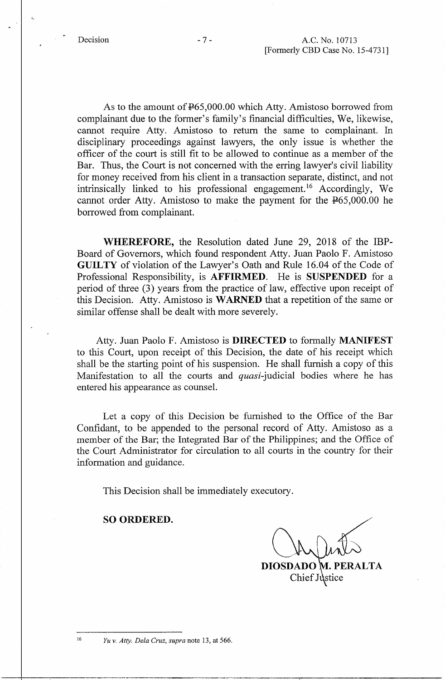$\ddot{\cdot}$ 

As to the amount of  $F65,000.00$  which Atty. Amistoso borrowed from complainant due to the former's family's financial difficulties, We, likewise, cannot require Atty. Amistoso to return the same to complainant. In disciplinary proceedings against lawyers, the only issue is whether the officer of the court is still fit to be allowed to continue as a member of the Bar. Thus, the Court is not concerned with the erring lawyer's civil liability for money received from his client in a transaction separate, distinct, and not intrinsically linked to his professional engagement. 16 Accordingly, We cannot order Atty. Amistoso to make the payment for the P65,000.00 he borrowed from complainant.

**WHEREFORE,** the Resolution dated June 29, 2018 of the IBP-Board of Governors, which found respondent Atty. Juan Paolo F. Amistoso **GUILTY** of violation of the Lawyer's Oath and Rule 16. 04 of the Code of Professional Responsibility, is **AFFIRMED.** He is **SUSPENDED** for a period of three (3) years from the practice of law, effective upon receipt of this Decision. Atty. Amistoso is **WARNED** that a repetition of the same or similar offense shall be dealt with more severely.

Atty. Juan Paolo F. Amistoso is **DIRECTED** to formally **MANIFEST**  to this Court, upon receipt of this Decision, the date of his receipt which shall be the starting point of his suspension. He shall furnish a copy of this Manifestation to all the courts and *quasi*-judicial bodies where he has entered his appearance as counsel.

Let a copy of this Decision be furnished to the Office of the Bar Confidant, to be appended to the personal record of Atty. Amistoso as a member of the Bar; the Integrated Bar of the Philippines; and the Office of the Court Administrator for circulation to all courts in the country for their information and guidance.

This Decision shall be immediately executory.

#### **SO ORDERED.**

**DIOSDADO**  Chief Justice

*Yu v. Atty. Dela Cruz, supra* note 13, at 566.

16